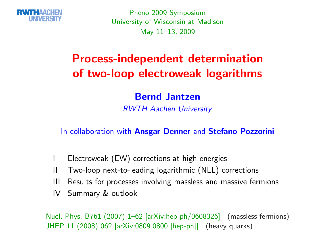

Pheno <sup>2009</sup> Symposium University of Wisconsin at MadisonMay 11–13, <sup>2009</sup>

## Process-independent determinationof two-loop electroweak logarithms

### Bernd Jantzen

RWTH Aachen University

In collaboration with **Ansgar Denner** and Stef<mark>ano Pozzorini</mark>

- <sup>I</sup> Electroweak (EW) corrections at high energies
- II Two-loop next-to-leading logarithmic (NLL) corrections
- III Results for processes involving massless and massive fermions
- IV Summary & outlook

Nucl. Phys. B761 (2007) 1–62 [arXiv:hep-ph/0608326] (massless fermions)JHEP <sup>11</sup> (2008) <sup>062</sup> [arXiv:0809.0800 [hep-ph]] (heavy quarks)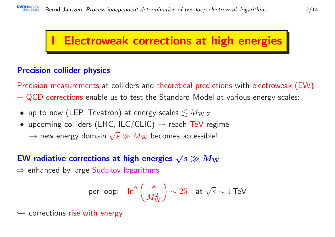## **Electroweak corrections at high energies**

### Precision collider physics

Precision measurements at colliders and theoretical predictions with electroweak (EW)  $+$  QCD corrections enable us to test the Standard Model at various energy scales:

- $\bullet\,$  up to now (LEP, Tevatron) at energy scales  $\lesssim M_{\rm W,Z}$
- upcoming colliders (LHC, ILC/CLIC)  $\rightarrow$  reach TeV regime
	- $\hookrightarrow$  new energy domain  $\sqrt{s} \gg M_{\rm W}$  becomes accessible!

# EW radiative corrections at high energies  $\sqrt{s} \gg M_{\rm W}$   $\rightarrow$  orbanced by large Sudakey logarithms.

 $\Rightarrow$  enhanced by large  $\mathsf{S}$ udakov logarithms

per loop: 
$$
\ln^2 \left( \frac{s}{M_W^2} \right) \sim 25
$$
 at  $\sqrt{s} \sim 1$  TeV

 $\hookrightarrow$  corrections rise with energy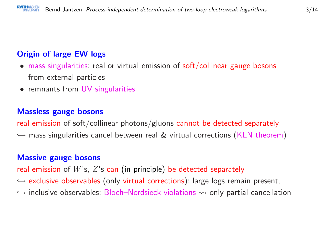### Origin of large EW logs

- mass singularities: real or virtual emission of soft/collinear gauge bosons from external particles
- remnants from UV singularities

#### Massless gauge bosons

real emission of soft/collinear photons/gluons cannot be detected separately  $\hookrightarrow$  mass singularities cancel between real  $\&$  virtual corrections (KLN theorem)

#### Massive gauge bosons

real emission of  $W$ 's,  $Z$ 's can (in principle) be detected separately  $\hookrightarrow$  exclusive observables (only virtual corrections): large logs remain present,  $\hookrightarrow$  inclusive electralistics. Plash, Newlais electronical concelled  $\hookrightarrow$  inclusive observables: Bloch–Nordsieck violations  $\rightsquigarrow$  only partial cancellation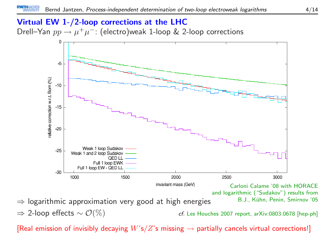### Virtual EW 1-/2-loop corrections at the LHCDrell—Yan  $pp \to \mu^+ \mu^-$ : (electro)weak 1-loop & 2-loop corrections



 $\Rightarrow$  2-loop effects  $\sim \mathcal{O}(\%)$ cf. Les Houches 2007 report, arXiv:0803.0678 [hep-ph]

[Real emission of invisibly decaying  $W$ 's $/Z$ 's missing  $\rightarrow$  partially cancels virtual corrections!]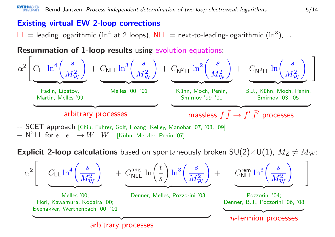### Existing virtual EW 2-loop corrections

 $\mathsf{LL} =$  leading logarithmic  $(\ln^4$  at 2 loops),  $\mathsf{NLL} =$  next-to-leading-logarithmic  $(\ln^3)$ ,  $\dots$ 

Resummation of 1-loop results using evolution equations:



 $+$   $\mathsf{N}^2\mathsf{LL}$  for  $e^+\,e^-\rightarrow W^+\,W^-\,$  [Kühn, Metzler, Penin '07]

 ${\sf Explicit}$  2-loop calculations based on spontaneously broken  $\mathsf{SU}(2){\times}\mathsf{U}(1)$ ,  $M_\mathrm{Z}\neq M_\mathrm{W}$ :

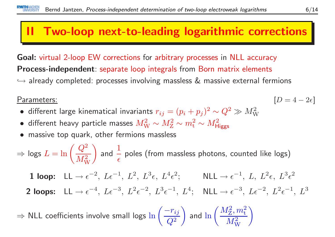## II Two-loop next-to-leading logarithmic corrections

Goal: virtual 2-loop EW corrections for arbitrary processes in NLL accuracy Process-independent: separate loop integrals from Born matrix elements  $\hookrightarrow$  already completed: processes involving massless  $\&$  massive external fermions

#### Parameters: $\frac{1}{2}$  [D

- different large kinematical invariants  $r_{ij} = (p_i + p_j)^2 \sim Q^2 \gg M_{\rm W}^2$
- different heavy particle masses  $M_{\rm W}^2 \sim M_{\rm Z}^2 \sim m_{\rm t}^2 \sim M_{\rm Higgs}^2$
- •massive top quark, other fermions massless

$$
\Rightarrow \text{logs } L = \ln\left(\frac{Q^2}{M_{\text{W}}^2}\right) \text{ and } \frac{1}{\epsilon} \text{ poles (from massless photons, counted like logs)}
$$

 $1$  loop:  $LL \rightarrow$  $\rightarrow \epsilon^{-2}, L\epsilon^{-1}, L^2, L^3\epsilon, L^4\epsilon^2; \qquad \text{NLL} \rightarrow \epsilon^{-1}, L, L^2\epsilon, L^3\epsilon^2$ 

2 loops:  $LL \rightarrow$  $\rightarrow \epsilon^{-4}, L\epsilon^{-3}, L^2\epsilon^{-2}, L^3\epsilon^{-1}, L^4; \quad \text{NLL} \rightarrow \epsilon^{-3}, L\epsilon^{-2}, L^2\epsilon^{-1}, L^3$ 

⇒⇒ NLL coefficients involve small logs  $\ln\left(\dfrac{-r_{ij}}{Q^2}\right)$  and  $\ln\left(\dfrac{M_\mathrm{Z}^2,m_\mathrm{t}^2}{M_\mathrm{W}^2}\right)$   $[D = 4 - 2\epsilon]$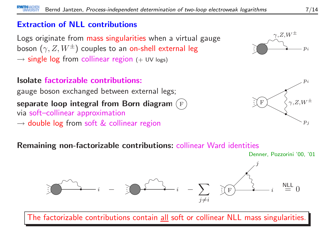### Extraction of NLL contributions

Logs originate from mass singularities when <sup>a</sup> virtual gauge boson  $(\gamma, Z, W^\pm)$  couples to an <mark>on-shell external leg</mark>  $\rightarrow$  single log from collinear region (+ UV logs)

### Isolate factorizable contributions:

gauge boson exchanged between external legs; separate loop integral from Born diagram (F)<br>via soft-collinear approximation via soft–collinear approximation

 $\rightarrow$  double log from soft  $\&$  collinear region

### $p_{\it i}$  $\stackrel{\gamma,Z,W^\pm}{\curvearrowright}$



#### Remaining non-factorizable contributions: collinear Ward identities



The factorizable contributions contain all soft or collinear NLL mass singularities.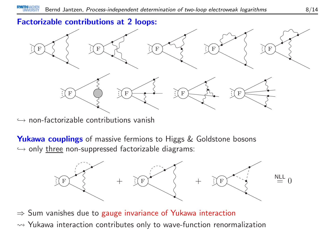### Factorizable contributions at <sup>2</sup> loops:



 $\hookrightarrow$  non-factorizable contributions vanish

**Yukawa couplings** of massive fermions to Higgs & Goldstone bosons  $\hookrightarrow$  only <u>three</u> non-suppressed factorizable diagrams:



⇒ Sum vanishes due to gauge invariance of Yukawa interaction  $\rightarrow$  Yukawa interaction contributes only to wave-function renormalization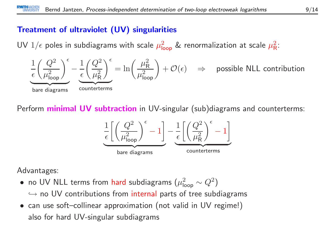### Treatment of ultraviolet (UV) singularities

UV  $1/\epsilon$  poles in subdiagrams with scale  $\mu_{\mathsf{loop}}^2$  & renormalization at scale  $\mu_{\mathsf{R}}^2$ :



Perform **minimal UV subtraction** in UV-singular (sub)diagrams and counterterms:



Advantages:

- no UV NLL terms from hard subdiagrams  $(\mu_{\mathsf{loop}}^2 \sim Q^2)$  $\hookrightarrow$  no UV contributions from internal parts of tree subdiagrams<br>see use of the ellipsex communication (not uslid in UV marineal)
- can use soft–collinear approximation (not valid in UV regime!) also for hard UV-singular subdiagrams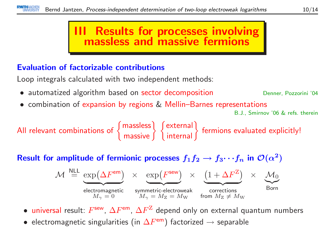### III Results for processes involvingmassless and massive fermions

### Evaluation of factorizable contributions

Loop integrals calculated with two independent methods:

- automatized algorithm based on sector decomposition **Denner, Pozzorini '04**
- combination of expansion by regions & Mellin–Barnes representations

B.J., Smirnov '06 & refs. therein

All relevant combinations of  $\{$  massless  $\}$   $\{$  external  $\}$  fermions evaluated explicitly!

Result for amplitude of fermionic processes  $f_1f_2 \to$  $f_3 \cdots f_n$  in  $\mathcal{O}(\alpha^2)$ 

$$
\mathcal{M} \stackrel{\text{NLL}}{=} \underbrace{\exp(\Delta F^{\text{em}})}_{M_{\gamma} = 0} \times \underbrace{\exp(F^{\text{sew}})}_{M_{\gamma} = M_{\text{Z}} = M_{\text{W}}} \times \underbrace{(1 + \Delta F^{\text{Z}})}_{\text{fornections}} \times \underbrace{\mathcal{M}_{0}}_{\text{Born}}
$$

 $\bullet$  universal result:  $F^{\sf sew},\, \Delta F^{\sf em},\, \Delta F^{\sf Z}$  depend only on external quantum numbers

• $\bullet$  electromagnetic singularities (in  $\Delta F^{\mathsf{em}}$ ) factorized  $\rightarrow$  separable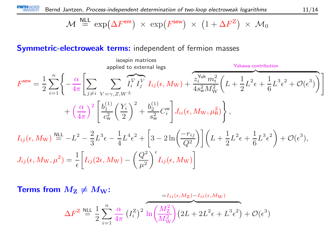$$
\mathcal{M} \stackrel{\text{NLL}}{=} \exp(\Delta F^{\text{em}}) \times \exp(F^{\text{sew}}) \times (1 + \Delta F^Z) \times \mathcal{M}_0
$$

### Symmetric-electroweak terms: independent of fermion masses

$$
F^{\text{sew}} = \frac{1}{2} \sum_{i=1}^{n} \left\{ -\frac{\alpha}{4\pi} \left[ \sum_{j \neq i} \sum_{V=\gamma, Z, W^{\pm}} \overline{I_{i}^{\bar{V}} I_{j}^{\bar{V}}} I_{ij}(\epsilon, M_{\text{W}}) + \overbrace{\frac{z_{i}^{\text{Yuk}} m_{\text{t}}^{2}}{4s_{\text{w}}^{2} M_{\text{W}}^{2}}} \left( L + \frac{1}{2} L^{2} \epsilon + \frac{1}{6} L^{3} \epsilon^{2} + \mathcal{O}(\epsilon^{3}) \right) \right] + \left( \frac{\alpha}{4\pi} \right)^{2} \left[ \frac{b_{1}^{(1)}}{c_{\text{w}}^{2}} \left( \frac{Y_{i}}{2} \right)^{2} + \frac{b_{2}^{(1)}}{s_{\text{w}}^{2}} C_{i}^{\text{w}} \right] J_{ii}(\epsilon, M_{\text{W}}, \mu_{\text{R}}^{2}) \right\},
$$
  

$$
I_{ij}(\epsilon, M_{\text{W}}) \stackrel{\text{NLL}}{=} -L^{2} - \frac{2}{3} L^{3} \epsilon - \frac{1}{4} L^{4} \epsilon^{2} + \left[ 3 - 2 \ln \left( \frac{-r_{ij}}{Q^{2}} \right) \right] \left( L + \frac{1}{2} L^{2} \epsilon + \frac{1}{6} L^{3} \epsilon^{2} \right) + \mathcal{O}(\epsilon^{3}),
$$
  

$$
J_{ij}(\epsilon, M_{\text{W}}, \mu^{2}) = \frac{1}{\epsilon} \left[ I_{ij} (2\epsilon, M_{\text{W}}) - \left( \frac{Q^{2}}{\mu^{2}} \right)^{\epsilon} I_{ij}(\epsilon, M_{\text{W}}) \right]
$$

**Terms from** 
$$
M_{\mathbf{Z}} \neq M_{\mathbf{W}}
$$
:  
\n
$$
\Delta F^{\mathbf{Z}} \stackrel{\text{NLL}}{=} \frac{1}{2} \sum_{i=1}^{n} \frac{\alpha}{4\pi} (I_i^{\mathbf{Z}})^2 \overbrace{\ln\left(\frac{M_{\mathbf{Z}}^2}{M_{\mathbf{W}}^2}\right)}^{=I_{ii}(\epsilon, M_{\mathbf{Z}})} (2L + 2L^2 \epsilon + L^3 \epsilon^2) + \mathcal{O}(\epsilon^3)
$$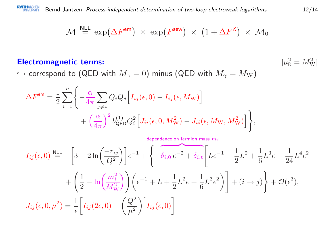$$
\mathcal{M} \stackrel{\text{NLL}}{=} \exp(\Delta F^{\text{em}}) \times \exp(F^{\text{sew}}) \times (1 + \Delta F^Z) \times \mathcal{M}_0
$$

#### Electromagnetic terms:

 $_{\rm R}^2 = M_{\rm W}^2$ 

 $\hookrightarrow$  correspond to (QED with  $M_\gamma=0)$  minus (QED with  $M_\gamma=M_{\mathrm W})$ 

$$
\Delta F^{\text{em}} = \frac{1}{2} \sum_{i=1}^{n} \left\{ -\frac{\alpha}{4\pi} \sum_{j \neq i} Q_i Q_j \left[ I_{ij}(\epsilon, 0) - I_{ij}(\epsilon, M_{\text{W}}) \right] + \left( \frac{\alpha}{4\pi} \right)^2 b_{\text{QED}}^{(1)} Q_i^2 \left[ J_{ii}(\epsilon, 0, M_{\text{W}}^2) - J_{ii}(\epsilon, M_{\text{W}}, M_{\text{W}}^2) \right] \right\},
$$

$$
I_{ij}(\epsilon,0) \stackrel{\text{NLL}}{=} -\left[3 - 2\ln\left(\frac{-r_{ij}}{Q^2}\right)\right] \epsilon^{-1} + \left\{-\delta_{i,0}\,\epsilon^{-2} + \delta_{i,\text{t}} \left[L\epsilon^{-1} + \frac{1}{2}L^2 + \frac{1}{6}L^3\epsilon + \frac{1}{24}L^4\epsilon^2 + \left(\frac{1}{2} - \ln\left(\frac{m_i^2}{M_W^2}\right)\right)\right)\left(\epsilon^{-1} + L + \frac{1}{2}L^2\epsilon + \frac{1}{6}L^3\epsilon^2\right)\right] + (i \to j)\right\} + \mathcal{O}(\epsilon^3),
$$
  

$$
J_{ij}(\epsilon,0,\mu^2) = \frac{1}{\epsilon} \left[I_{ij}(2\epsilon,0) - \left(\frac{Q^2}{\mu^2}\right)^\epsilon I_{ij}(\epsilon,0)\right]
$$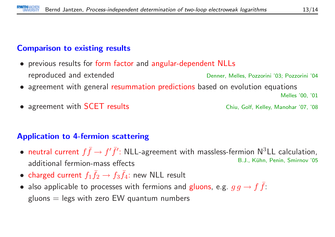### Comparison to existing results

- previous results for form factor and angular-dependent NLLs reproduced and extendedDenner, Melles, Pozzorini '03; Pozzorini '04
- agreement with genera<sup>l</sup> resummation predictions based on evolution equations

Melles '00, '01

Chiu, Golf, Kelley, Manohar '07, '08

• agreement with

### Application to 4-fermion scattering

- $\bullet$ • neutral current  $f \bar{f} \to f' \bar{f}'$ : NLL-agreement with massless-fermion N<sup>3</sup>LL calculation,<br>B.J., Kühn, Penin, Smirnov '05 additional fermion-mass effectsB.J., Kühn, Penin, Smirnov '05
- charged current  $f_1 \bar{f}_2 \rightarrow f_3 \bar{f}_4$ : new NLL result
- also applicable to processes with fermions and gluons, e.g.  $g g \to f \bar{f}$ :  $gluons = legs$  with zero EW quantum numbers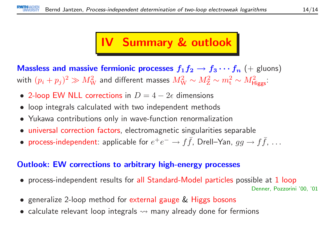#### 14/14

## IV Summary & outlook

**Massless and massive fermionic processes**  $f_1f_2 \rightarrow f_3 \cdots f_n$  (+ gluons)<br>with  $(n+1)^2 \gg M^2$  and different masses  $M^2$  at  $M^2$  at  $M^2$ with  $(p_i+p_j)^2\gg M_{\mathrm{W}}^2$  and different masses  $M_{\mathrm{W}}^2\sim M_{\mathrm{Z}}^2\sim m_{\mathrm{t}}^2\sim M_{\mathrm{Higgs}}^2$ :

- 2-loop EW NLL corrections in  $D=4-2\epsilon$  dimensions
- •loop integrals calculated with two independent methods
- $\bullet$ Yukawa contributions only in wave-function renormalization
- universal correction factors, electromagnetic singularities separable
- process-independent: applicable for  $e^+e^-\to f\bar{f}$ , Drell–Yan,  $gg\to f\bar{f}$ ,  $\ldots$

### Outlook: EW corrections to arbitrary high-energy processes

- process-independent results for all Standard-Model particles possible at <sup>1</sup> loopDenner, Pozzorini '00, '01
- generalize 2-loop method for external gauge & Higgs bosons
- $\bullet\,$  calculate relevant loop integrals  $\leadsto$  many already done for fermions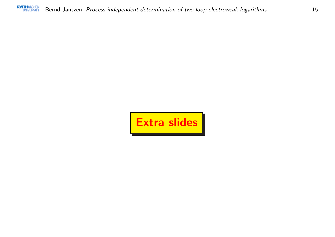